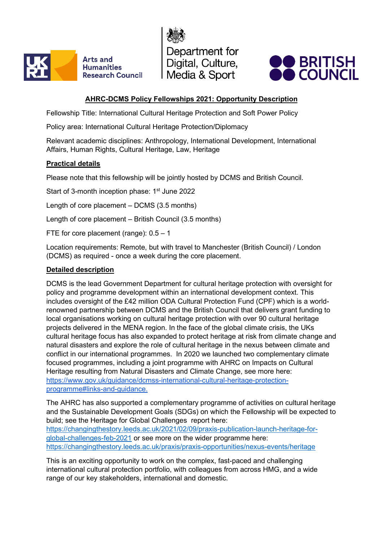

Department for Digital, Culture, Media & Sport



# **AHRC-DCMS Policy Fellowships 2021: Opportunity Description**

Fellowship Title: International Cultural Heritage Protection and Soft Power Policy

Policy area: International Cultural Heritage Protection/Diplomacy

Relevant academic disciplines: Anthropology, International Development, International Affairs, Human Rights, Cultural Heritage, Law, Heritage

### **Practical details**

Please note that this fellowship will be jointly hosted by DCMS and British Council.

Start of 3-month inception phase: 1<sup>st</sup> June 2022

Length of core placement – DCMS (3.5 months)

Length of core placement – British Council (3.5 months)

FTE for core placement (range): 0.5 – 1

Location requirements: Remote, but with travel to Manchester (British Council) / London (DCMS) as required - once a week during the core placement.

#### **Detailed description**

DCMS is the lead Government Department for cultural heritage protection with oversight for policy and programme development within an international development context. This includes oversight of the £42 million ODA Cultural Protection Fund (CPF) which is a worldrenowned partnership between DCMS and the British Council that delivers grant funding to local organisations working on cultural heritage protection with over 90 cultural heritage projects delivered in the MENA region. In the face of the global climate crisis, the UKs cultural heritage focus has also expanded to protect heritage at risk from climate change and natural disasters and explore the role of cultural heritage in the nexus between climate and conflict in our international programmes. In 2020 we launched two complementary climate focused programmes, including a joint programme with AHRC on Impacts on Cultural Heritage resulting from Natural Disasters and Climate Change, see more here: [https://www.gov.uk/guidance/dcmss-international-cultural-heritage-protection](https://www.gov.uk/guidance/dcmss-international-cultural-heritage-protection-programme#links-and-guidance)[programme#links-and-guidance.](https://www.gov.uk/guidance/dcmss-international-cultural-heritage-protection-programme#links-and-guidance)

The AHRC has also supported a complementary programme of activities on cultural heritage and the Sustainable Development Goals (SDGs) on which the Fellowship will be expected to build; see the Heritage for Global Challenges report here: [https://changingthestory.leeds.ac.uk/2021/02/09/praxis-publication-launch-heritage-for](https://changingthestory.leeds.ac.uk/2021/02/09/praxis-publication-launch-heritage-for-global-challenges-feb-2021/)[global-challenges-feb-2021](https://changingthestory.leeds.ac.uk/2021/02/09/praxis-publication-launch-heritage-for-global-challenges-feb-2021/) or see more on the wider programme here: [https://changingthestory.leeds.ac.uk/praxis/praxis-opportunities/nexus-events/heritage](https://changingthestory.leeds.ac.uk/praxis/praxis-opportunities/nexus-events/heritage/)

This is an exciting opportunity to work on the complex, fast-paced and challenging international cultural protection portfolio, with colleagues from across HMG, and a wide range of our key stakeholders, international and domestic.